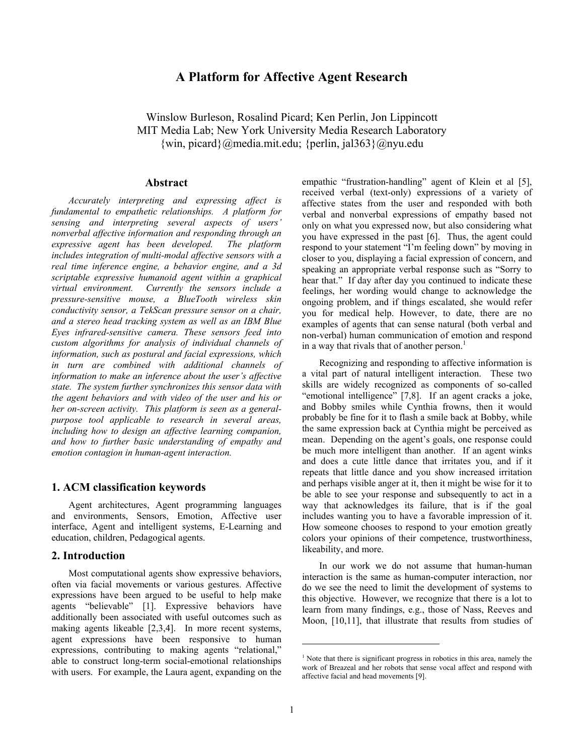# **A Platform for Affective Agent Research**

Winslow Burleson, Rosalind Picard; Ken Perlin, Jon Lippincott MIT Media Lab; New York University Media Research Laboratory  $\{\text{win}, \text{picard}\}\$ @media.mit.edu;  $\{\text{perlin}, \text{jal}363\}$ @nyu.edu

# **Abstract**

*Accurately interpreting and expressing affect is fundamental to empathetic relationships. A platform for sensing and interpreting several aspects of users' nonverbal affective information and responding through an expressive agent has been developed. The platform includes integration of multi-modal affective sensors with a real time inference engine, a behavior engine, and a 3d scriptable expressive humanoid agent within a graphical virtual environment. Currently the sensors include a pressure-sensitive mouse, a BlueTooth wireless skin conductivity sensor, a TekScan pressure sensor on a chair, and a stereo head tracking system as well as an IBM Blue Eyes infrared-sensitive camera. These sensors feed into custom algorithms for analysis of individual channels of information, such as postural and facial expressions, which in turn are combined with additional channels of information to make an inference about the user's affective state. The system further synchronizes this sensor data with the agent behaviors and with video of the user and his or her on-screen activity. This platform is seen as a generalpurpose tool applicable to research in several areas, including how to design an affective learning companion, and how to further basic understanding of empathy and emotion contagion in human-agent interaction.* 

# **1. ACM classification keywords**

Agent architectures, Agent programming languages and environments, Sensors, Emotion, Affective user interface, Agent and intelligent systems, E-Learning and education, children, Pedagogical agents.

# **2. Introduction**

Most computational agents show expressive behaviors, often via facial movements or various gestures. Affective expressions have been argued to be useful to help make agents "believable" [1]. Expressive behaviors have additionally been associated with useful outcomes such as making agents likeable [2,3,4]. In more recent systems, agent expressions have been responsive to human expressions, contributing to making agents "relational," able to construct long-term social-emotional relationships with users. For example, the Laura agent, expanding on the

empathic "frustration-handling" agent of Klein et al [5], received verbal (text-only) expressions of a variety of affective states from the user and responded with both verbal and nonverbal expressions of empathy based not only on what you expressed now, but also considering what you have expressed in the past [6]. Thus, the agent could respond to your statement "I'm feeling down" by moving in closer to you, displaying a facial expression of concern, and speaking an appropriate verbal response such as "Sorry to hear that." If day after day you continued to indicate these feelings, her wording would change to acknowledge the ongoing problem, and if things escalated, she would refer you for medical help. However, to date, there are no examples of agents that can sense natural (both verbal and non-verbal) human communication of emotion and respond in a way that rivals that of another person.<sup>1</sup>

Recognizing and responding to affective information is a vital part of natural intelligent interaction. These two skills are widely recognized as components of so-called "emotional intelligence" [7,8]. If an agent cracks a joke, and Bobby smiles while Cynthia frowns, then it would probably be fine for it to flash a smile back at Bobby, while the same expression back at Cynthia might be perceived as mean. Depending on the agent's goals, one response could be much more intelligent than another. If an agent winks and does a cute little dance that irritates you, and if it repeats that little dance and you show increased irritation and perhaps visible anger at it, then it might be wise for it to be able to see your response and subsequently to act in a way that acknowledges its failure, that is if the goal includes wanting you to have a favorable impression of it. How someone chooses to respond to your emotion greatly colors your opinions of their competence, trustworthiness, likeability, and more.

In our work we do not assume that human-human interaction is the same as human-computer interaction, nor do we see the need to limit the development of systems to this objective. However, we recognize that there is a lot to learn from many findings, e.g., those of Nass, Reeves and Moon, [10,11], that illustrate that results from studies of

l

<sup>&</sup>lt;sup>1</sup> Note that there is significant progress in robotics in this area, namely the work of Breazeal and her robots that sense vocal affect and respond with affective facial and head movements [9].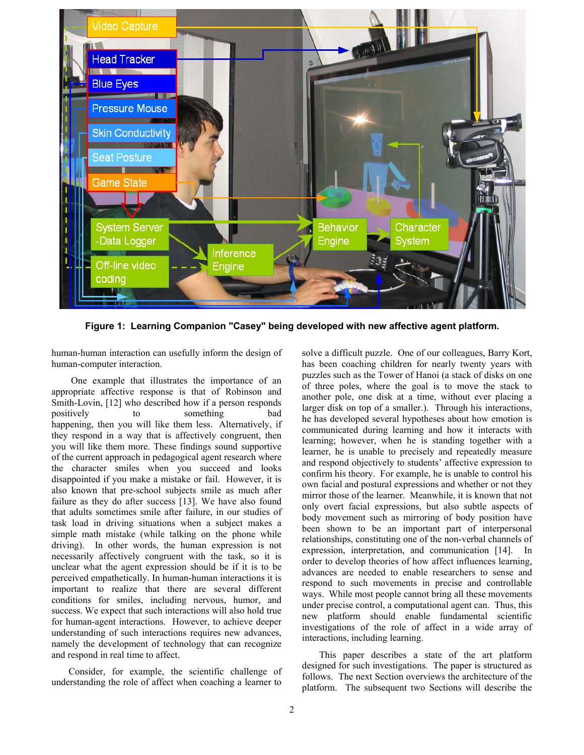

**Figure 1: Learning Companion "Casey" being developed with new affective agent platform.** 

human-human interaction can usefully inform the design of human-computer interaction.

 One example that illustrates the importance of an appropriate affective response is that of Robinson and Smith-Lovin, [12] who described how if a person responds positively to something bad happening, then you will like them less. Alternatively, if they respond in a way that is affectively congruent, then you will like them more. These findings sound supportive of the current approach in pedagogical agent research where the character smiles when you succeed and looks disappointed if you make a mistake or fail. However, it is also known that pre-school subjects smile as much after failure as they do after success [13]. We have also found that adults sometimes smile after failure, in our studies of task load in driving situations when a subject makes a simple math mistake (while talking on the phone while driving). In other words, the human expression is not necessarily affectively congruent with the task, so it is unclear what the agent expression should be if it is to be perceived empathetically. In human-human interactions it is important to realize that there are several different conditions for smiles, including nervous, humor, and success. We expect that such interactions will also hold true for human-agent interactions. However, to achieve deeper understanding of such interactions requires new advances, namely the development of technology that can recognize and respond in real time to affect.

Consider, for example, the scientific challenge of understanding the role of affect when coaching a learner to solve a difficult puzzle. One of our colleagues, Barry Kort, has been coaching children for nearly twenty years with puzzles such as the Tower of Hanoi (a stack of disks on one of three poles, where the goal is to move the stack to another pole, one disk at a time, without ever placing a larger disk on top of a smaller.). Through his interactions, he has developed several hypotheses about how emotion is communicated during learning and how it interacts with learning; however, when he is standing together with a learner, he is unable to precisely and repeatedly measure and respond objectively to students' affective expression to confirm his theory. For example, he is unable to control his own facial and postural expressions and whether or not they mirror those of the learner. Meanwhile, it is known that not only overt facial expressions, but also subtle aspects of body movement such as mirroring of body position have been shown to be an important part of interpersonal relationships, constituting one of the non-verbal channels of expression, interpretation, and communication [14]. In order to develop theories of how affect influences learning, advances are needed to enable researchers to sense and respond to such movements in precise and controllable ways. While most people cannot bring all these movements under precise control, a computational agent can. Thus, this new platform should enable fundamental scientific investigations of the role of affect in a wide array of interactions, including learning.

This paper describes a state of the art platform designed for such investigations. The paper is structured as follows. The next Section overviews the architecture of the platform. The subsequent two Sections will describe the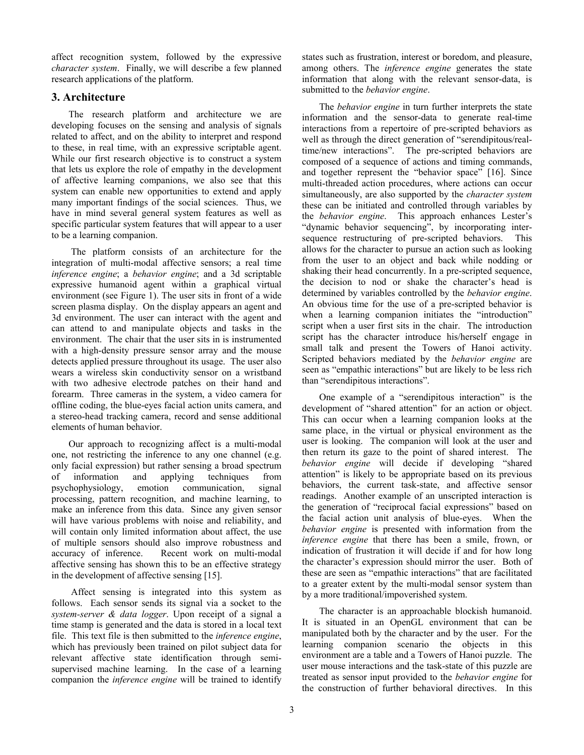affect recognition system, followed by the expressive *character system*. Finally, we will describe a few planned research applications of the platform.

# **3. Architecture**

The research platform and architecture we are developing focuses on the sensing and analysis of signals related to affect, and on the ability to interpret and respond to these, in real time, with an expressive scriptable agent. While our first research objective is to construct a system that lets us explore the role of empathy in the development of affective learning companions, we also see that this system can enable new opportunities to extend and apply many important findings of the social sciences. Thus, we have in mind several general system features as well as specific particular system features that will appear to a user to be a learning companion.

 The platform consists of an architecture for the integration of multi-modal affective sensors; a real time *inference engine*; a *behavior engine*; and a 3d scriptable expressive humanoid agent within a graphical virtual environment (see Figure 1). The user sits in front of a wide screen plasma display. On the display appears an agent and 3d environment. The user can interact with the agent and can attend to and manipulate objects and tasks in the environment. The chair that the user sits in is instrumented with a high-density pressure sensor array and the mouse detects applied pressure throughout its usage. The user also wears a wireless skin conductivity sensor on a wristband with two adhesive electrode patches on their hand and forearm. Three cameras in the system, a video camera for offline coding, the blue-eyes facial action units camera, and a stereo-head tracking camera, record and sense additional elements of human behavior.

Our approach to recognizing affect is a multi-modal one, not restricting the inference to any one channel (e.g. only facial expression) but rather sensing a broad spectrum of information and applying techniques from psychophysiology, emotion communication, signal processing, pattern recognition, and machine learning, to make an inference from this data. Since any given sensor will have various problems with noise and reliability, and will contain only limited information about affect, the use of multiple sensors should also improve robustness and accuracy of inference. Recent work on multi-modal affective sensing has shown this to be an effective strategy in the development of affective sensing [15].

 Affect sensing is integrated into this system as follows. Each sensor sends its signal via a socket to the *system-server & data logger*. Upon receipt of a signal a time stamp is generated and the data is stored in a local text file. This text file is then submitted to the *inference engine*, which has previously been trained on pilot subject data for relevant affective state identification through semisupervised machine learning. In the case of a learning companion the *inference engine* will be trained to identify

states such as frustration, interest or boredom, and pleasure, among others. The *inference engine* generates the state information that along with the relevant sensor-data, is submitted to the *behavior engine*.

The *behavior engine* in turn further interprets the state information and the sensor-data to generate real-time interactions from a repertoire of pre-scripted behaviors as well as through the direct generation of "serendipitous/realtime/new interactions". The pre-scripted behaviors are composed of a sequence of actions and timing commands, and together represent the "behavior space" [16]. Since multi-threaded action procedures, where actions can occur simultaneously, are also supported by the *character system* these can be initiated and controlled through variables by the *behavior engine*. This approach enhances Lester's "dynamic behavior sequencing", by incorporating intersequence restructuring of pre-scripted behaviors. This allows for the character to pursue an action such as looking from the user to an object and back while nodding or shaking their head concurrently. In a pre-scripted sequence, the decision to nod or shake the character's head is determined by variables controlled by the *behavior engine*. An obvious time for the use of a pre-scripted behavior is when a learning companion initiates the "introduction" script when a user first sits in the chair. The introduction script has the character introduce his/herself engage in small talk and present the Towers of Hanoi activity. Scripted behaviors mediated by the *behavior engine* are seen as "empathic interactions" but are likely to be less rich than "serendipitous interactions".

One example of a "serendipitous interaction" is the development of "shared attention" for an action or object. This can occur when a learning companion looks at the same place, in the virtual or physical environment as the user is looking. The companion will look at the user and then return its gaze to the point of shared interest. The *behavior engine* will decide if developing "shared attention" is likely to be appropriate based on its previous behaviors, the current task-state, and affective sensor readings. Another example of an unscripted interaction is the generation of "reciprocal facial expressions" based on the facial action unit analysis of blue-eyes. When the *behavior engine* is presented with information from the *inference engine* that there has been a smile, frown, or indication of frustration it will decide if and for how long the character's expression should mirror the user. Both of these are seen as "empathic interactions" that are facilitated to a greater extent by the multi-modal sensor system than by a more traditional/impoverished system.

The character is an approachable blockish humanoid. It is situated in an OpenGL environment that can be manipulated both by the character and by the user. For the learning companion scenario the objects in this environment are a table and a Towers of Hanoi puzzle. The user mouse interactions and the task-state of this puzzle are treated as sensor input provided to the *behavior engine* for the construction of further behavioral directives. In this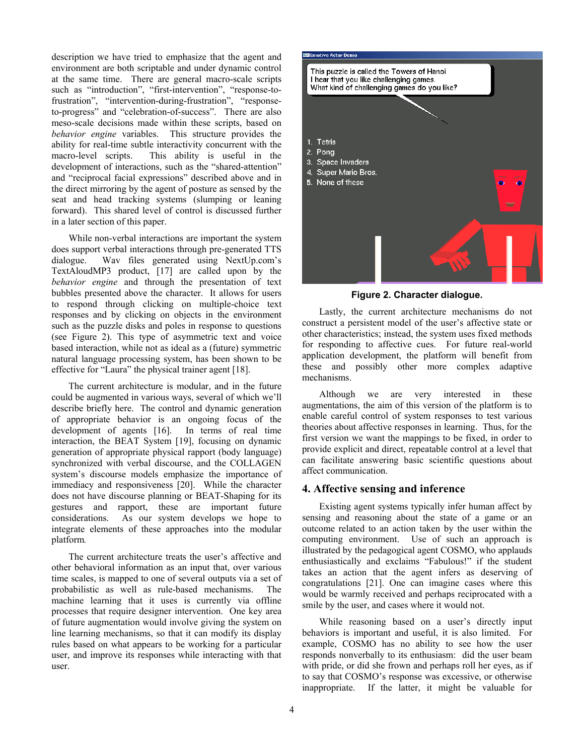description we have tried to emphasize that the agent and environment are both scriptable and under dynamic control at the same time. There are general macro-scale scripts such as "introduction", "first-intervention", "response-tofrustration", "intervention-during-frustration", "responseto-progress" and "celebration-of-success". There are also meso-scale decisions made within these scripts, based on *behavior engine* variables. This structure provides the ability for real-time subtle interactivity concurrent with the macro-level scripts. This ability is useful in the development of interactions, such as the "shared-attention" and "reciprocal facial expressions" described above and in the direct mirroring by the agent of posture as sensed by the seat and head tracking systems (slumping or leaning forward). This shared level of control is discussed further in a later section of this paper.

While non-verbal interactions are important the system does support verbal interactions through pre-generated TTS dialogue. Wav files generated using NextUp.com's TextAloudMP3 product, [17] are called upon by the *behavior engine* and through the presentation of text bubbles presented above the character. It allows for users to respond through clicking on multiple-choice text responses and by clicking on objects in the environment such as the puzzle disks and poles in response to questions (see Figure 2). This type of asymmetric text and voice based interaction, while not as ideal as a (future) symmetric natural language processing system, has been shown to be effective for "Laura" the physical trainer agent [18].

The current architecture is modular, and in the future could be augmented in various ways, several of which we'll describe briefly here. The control and dynamic generation of appropriate behavior is an ongoing focus of the development of agents [16]. In terms of real time interaction, the BEAT System [19], focusing on dynamic generation of appropriate physical rapport (body language) synchronized with verbal discourse, and the COLLAGEN system's discourse models emphasize the importance of immediacy and responsiveness [20]. While the character does not have discourse planning or BEAT-Shaping for its gestures and rapport, these are important future considerations. As our system develops we hope to integrate elements of these approaches into the modular platform*.* 

The current architecture treats the user's affective and other behavioral information as an input that, over various time scales, is mapped to one of several outputs via a set of probabilistic as well as rule-based mechanisms. The machine learning that it uses is currently via offline processes that require designer intervention. One key area of future augmentation would involve giving the system on line learning mechanisms, so that it can modify its display rules based on what appears to be working for a particular user, and improve its responses while interacting with that user.



**Figure 2. Character dialogue.** 

Lastly, the current architecture mechanisms do not construct a persistent model of the user's affective state or other characteristics; instead, the system uses fixed methods for responding to affective cues. For future real-world application development, the platform will benefit from these and possibly other more complex adaptive mechanisms.

Although we are very interested in these augmentations, the aim of this version of the platform is to enable careful control of system responses to test various theories about affective responses in learning. Thus, for the first version we want the mappings to be fixed, in order to provide explicit and direct, repeatable control at a level that can facilitate answering basic scientific questions about affect communication.

# **4. Affective sensing and inference**

Existing agent systems typically infer human affect by sensing and reasoning about the state of a game or an outcome related to an action taken by the user within the computing environment. Use of such an approach is illustrated by the pedagogical agent COSMO, who applauds enthusiastically and exclaims "Fabulous!" if the student takes an action that the agent infers as deserving of congratulations [21]. One can imagine cases where this would be warmly received and perhaps reciprocated with a smile by the user, and cases where it would not.

While reasoning based on a user's directly input behaviors is important and useful, it is also limited. For example, COSMO has no ability to see how the user responds nonverbally to its enthusiasm: did the user beam with pride, or did she frown and perhaps roll her eyes, as if to say that COSMO's response was excessive, or otherwise inappropriate. If the latter, it might be valuable for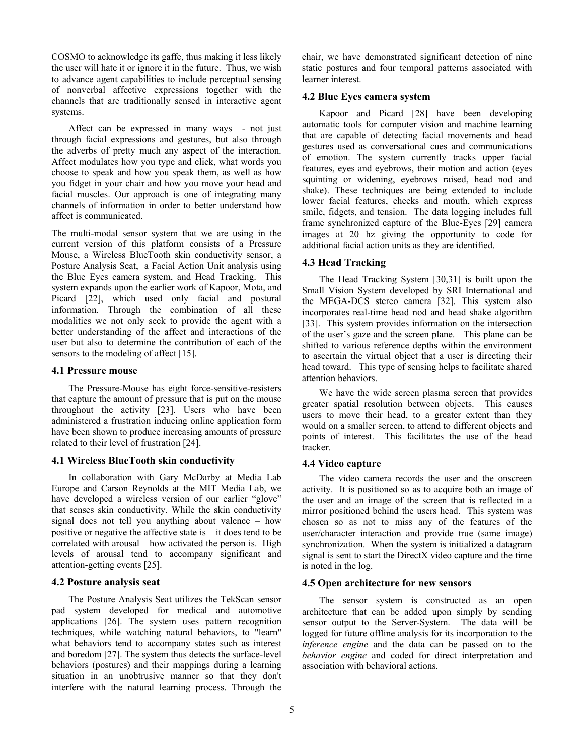COSMO to acknowledge its gaffe, thus making it less likely the user will hate it or ignore it in the future. Thus, we wish to advance agent capabilities to include perceptual sensing of nonverbal affective expressions together with the channels that are traditionally sensed in interactive agent systems.

Affect can be expressed in many ways –- not just through facial expressions and gestures, but also through the adverbs of pretty much any aspect of the interaction. Affect modulates how you type and click, what words you choose to speak and how you speak them, as well as how you fidget in your chair and how you move your head and facial muscles. Our approach is one of integrating many channels of information in order to better understand how affect is communicated.

The multi-modal sensor system that we are using in the current version of this platform consists of a Pressure Mouse, a Wireless BlueTooth skin conductivity sensor, a Posture Analysis Seat, a Facial Action Unit analysis using the Blue Eyes camera system, and Head Tracking. This system expands upon the earlier work of Kapoor, Mota, and Picard [22], which used only facial and postural information. Through the combination of all these modalities we not only seek to provide the agent with a better understanding of the affect and interactions of the user but also to determine the contribution of each of the sensors to the modeling of affect [15].

#### **4.1 Pressure mouse**

The Pressure-Mouse has eight force-sensitive-resisters that capture the amount of pressure that is put on the mouse throughout the activity [23]. Users who have been administered a frustration inducing online application form have been shown to produce increasing amounts of pressure related to their level of frustration [24].

#### **4.1 Wireless BlueTooth skin conductivity**

In collaboration with Gary McDarby at Media Lab Europe and Carson Reynolds at the MIT Media Lab, we have developed a wireless version of our earlier "glove" that senses skin conductivity. While the skin conductivity signal does not tell you anything about valence – how positive or negative the affective state is – it does tend to be correlated with arousal – how activated the person is. High levels of arousal tend to accompany significant and attention-getting events [25].

#### **4.2 Posture analysis seat**

The Posture Analysis Seat utilizes the TekScan sensor pad system developed for medical and automotive applications [26]. The system uses pattern recognition techniques, while watching natural behaviors, to "learn" what behaviors tend to accompany states such as interest and boredom [27]. The system thus detects the surface-level behaviors (postures) and their mappings during a learning situation in an unobtrusive manner so that they don't interfere with the natural learning process. Through the

chair, we have demonstrated significant detection of nine static postures and four temporal patterns associated with learner interest.

### **4.2 Blue Eyes camera system**

Kapoor and Picard [28] have been developing automatic tools for computer vision and machine learning that are capable of detecting facial movements and head gestures used as conversational cues and communications of emotion. The system currently tracks upper facial features, eyes and eyebrows, their motion and action (eyes squinting or widening, eyebrows raised, head nod and shake). These techniques are being extended to include lower facial features, cheeks and mouth, which express smile, fidgets, and tension. The data logging includes full frame synchronized capture of the Blue-Eyes [29] camera images at 20 hz giving the opportunity to code for additional facial action units as they are identified.

#### **4.3 Head Tracking**

The Head Tracking System [30,31] is built upon the Small Vision System developed by SRI International and the MEGA-DCS stereo camera [32]. This system also incorporates real-time head nod and head shake algorithm [33]. This system provides information on the intersection of the user's gaze and the screen plane. This plane can be shifted to various reference depths within the environment to ascertain the virtual object that a user is directing their head toward. This type of sensing helps to facilitate shared attention behaviors.

We have the wide screen plasma screen that provides greater spatial resolution between objects. This causes users to move their head, to a greater extent than they would on a smaller screen, to attend to different objects and points of interest. This facilitates the use of the head tracker.

### **4.4 Video capture**

The video camera records the user and the onscreen activity. It is positioned so as to acquire both an image of the user and an image of the screen that is reflected in a mirror positioned behind the users head. This system was chosen so as not to miss any of the features of the user/character interaction and provide true (same image) synchronization. When the system is initialized a datagram signal is sent to start the DirectX video capture and the time is noted in the log.

#### **4.5 Open architecture for new sensors**

The sensor system is constructed as an open architecture that can be added upon simply by sending sensor output to the Server-System. The data will be logged for future offline analysis for its incorporation to the *inference engine* and the data can be passed on to the *behavior engine* and coded for direct interpretation and association with behavioral actions.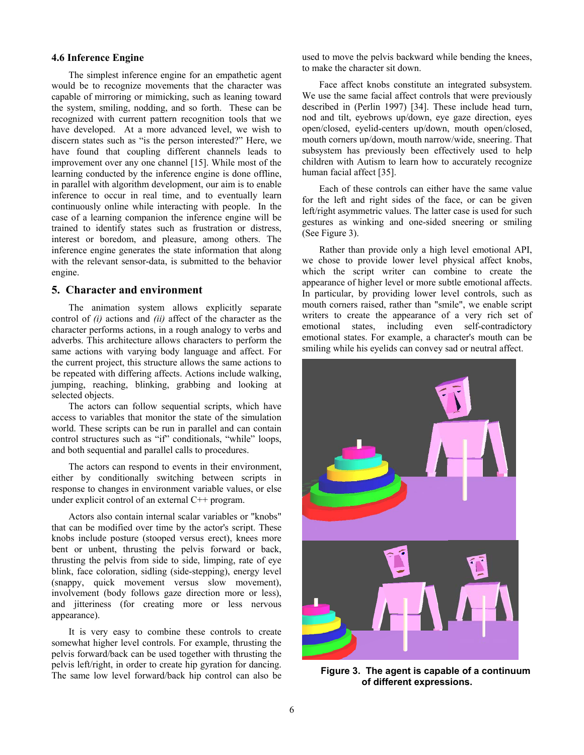### **4.6 Inference Engine**

The simplest inference engine for an empathetic agent would be to recognize movements that the character was capable of mirroring or mimicking, such as leaning toward the system, smiling, nodding, and so forth. These can be recognized with current pattern recognition tools that we have developed. At a more advanced level, we wish to discern states such as "is the person interested?" Here, we have found that coupling different channels leads to improvement over any one channel [15]. While most of the learning conducted by the inference engine is done offline, in parallel with algorithm development, our aim is to enable inference to occur in real time, and to eventually learn continuously online while interacting with people. In the case of a learning companion the inference engine will be trained to identify states such as frustration or distress, interest or boredom, and pleasure, among others. The inference engine generates the state information that along with the relevant sensor-data, is submitted to the behavior engine.

# **5. Character and environment**

The animation system allows explicitly separate control of *(i)* actions and *(ii)* affect of the character as the character performs actions, in a rough analogy to verbs and adverbs. This architecture allows characters to perform the same actions with varying body language and affect. For the current project, this structure allows the same actions to be repeated with differing affects. Actions include walking, jumping, reaching, blinking, grabbing and looking at selected objects.

The actors can follow sequential scripts, which have access to variables that monitor the state of the simulation world. These scripts can be run in parallel and can contain control structures such as "if" conditionals, "while" loops, and both sequential and parallel calls to procedures.

The actors can respond to events in their environment, either by conditionally switching between scripts in response to changes in environment variable values, or else under explicit control of an external C++ program.

Actors also contain internal scalar variables or "knobs" that can be modified over time by the actor's script. These knobs include posture (stooped versus erect), knees more bent or unbent, thrusting the pelvis forward or back, thrusting the pelvis from side to side, limping, rate of eye blink, face coloration, sidling (side-stepping), energy level (snappy, quick movement versus slow movement), involvement (body follows gaze direction more or less), and jitteriness (for creating more or less nervous appearance).

It is very easy to combine these controls to create somewhat higher level controls. For example, thrusting the pelvis forward/back can be used together with thrusting the pelvis left/right, in order to create hip gyration for dancing. The same low level forward/back hip control can also be

used to move the pelvis backward while bending the knees, to make the character sit down.

Face affect knobs constitute an integrated subsystem. We use the same facial affect controls that were previously described in (Perlin 1997) [34]. These include head turn, nod and tilt, eyebrows up/down, eye gaze direction, eyes open/closed, eyelid-centers up/down, mouth open/closed, mouth corners up/down, mouth narrow/wide, sneering. That subsystem has previously been effectively used to help children with Autism to learn how to accurately recognize human facial affect [35].

Each of these controls can either have the same value for the left and right sides of the face, or can be given left/right asymmetric values. The latter case is used for such gestures as winking and one-sided sneering or smiling (See Figure 3).

Rather than provide only a high level emotional API, we chose to provide lower level physical affect knobs, which the script writer can combine to create the appearance of higher level or more subtle emotional affects. In particular, by providing lower level controls, such as mouth corners raised, rather than "smile", we enable script writers to create the appearance of a very rich set of emotional states, including even self-contradictory emotional states. For example, a character's mouth can be smiling while his eyelids can convey sad or neutral affect.



**Figure 3. The agent is capable of a continuum of different expressions.**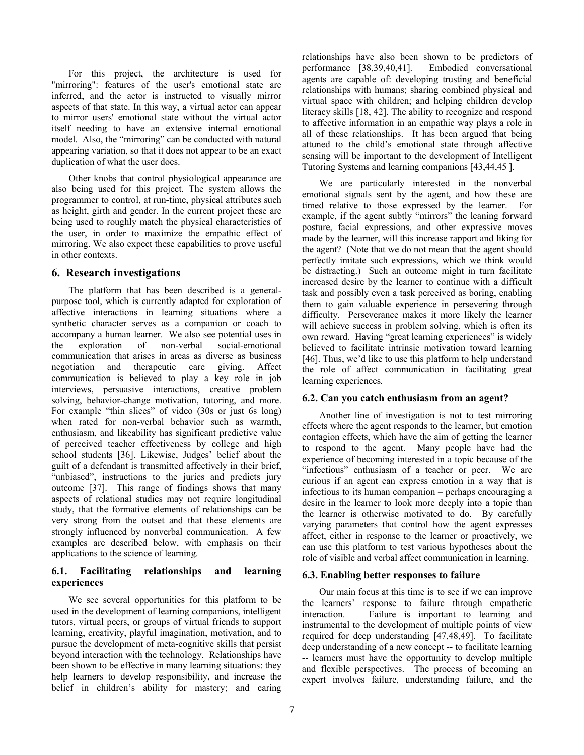For this project, the architecture is used for "mirroring": features of the user's emotional state are inferred, and the actor is instructed to visually mirror aspects of that state. In this way, a virtual actor can appear to mirror users' emotional state without the virtual actor itself needing to have an extensive internal emotional model. Also, the "mirroring" can be conducted with natural appearing variation, so that it does not appear to be an exact duplication of what the user does.

Other knobs that control physiological appearance are also being used for this project. The system allows the programmer to control, at run-time, physical attributes such as height, girth and gender. In the current project these are being used to roughly match the physical characteristics of the user, in order to maximize the empathic effect of mirroring. We also expect these capabilities to prove useful in other contexts.

# **6. Research investigations**

The platform that has been described is a generalpurpose tool, which is currently adapted for exploration of affective interactions in learning situations where a synthetic character serves as a companion or coach to accompany a human learner. We also see potential uses in the exploration of non-verbal social-emotional communication that arises in areas as diverse as business negotiation and therapeutic care giving. Affect communication is believed to play a key role in job interviews, persuasive interactions, creative problem solving, behavior-change motivation, tutoring, and more. For example "thin slices" of video (30s or just 6s long) when rated for non-verbal behavior such as warmth, enthusiasm, and likeability has significant predictive value of perceived teacher effectiveness by college and high school students [36]. Likewise, Judges' belief about the guilt of a defendant is transmitted affectively in their brief, "unbiased", instructions to the juries and predicts jury outcome [37]. This range of findings shows that many aspects of relational studies may not require longitudinal study, that the formative elements of relationships can be very strong from the outset and that these elements are strongly influenced by nonverbal communication. A few examples are described below, with emphasis on their applications to the science of learning.

# **6.1. Facilitating relationships and learning experiences**

We see several opportunities for this platform to be used in the development of learning companions, intelligent tutors, virtual peers, or groups of virtual friends to support learning, creativity, playful imagination, motivation, and to pursue the development of meta-cognitive skills that persist beyond interaction with the technology. Relationships have been shown to be effective in many learning situations: they help learners to develop responsibility, and increase the belief in children's ability for mastery; and caring

relationships have also been shown to be predictors of performance [38,39,40,41]. Embodied conversational agents are capable of: developing trusting and beneficial relationships with humans; sharing combined physical and virtual space with children; and helping children develop literacy skills [18, 42]. The ability to recognize and respond to affective information in an empathic way plays a role in all of these relationships. It has been argued that being attuned to the child's emotional state through affective sensing will be important to the development of Intelligent Tutoring Systems and learning companions [43,44,45 ].

We are particularly interested in the nonverbal emotional signals sent by the agent, and how these are timed relative to those expressed by the learner. For example, if the agent subtly "mirrors" the leaning forward posture, facial expressions, and other expressive moves made by the learner, will this increase rapport and liking for the agent? (Note that we do not mean that the agent should perfectly imitate such expressions, which we think would be distracting.) Such an outcome might in turn facilitate increased desire by the learner to continue with a difficult task and possibly even a task perceived as boring, enabling them to gain valuable experience in persevering through difficulty. Perseverance makes it more likely the learner will achieve success in problem solving, which is often its own reward. Having "great learning experiences" is widely believed to facilitate intrinsic motivation toward learning [46]. Thus, we'd like to use this platform to help understand the role of affect communication in facilitating great learning experiences*.*

# **6.2. Can you catch enthusiasm from an agent?**

Another line of investigation is not to test mirroring effects where the agent responds to the learner, but emotion contagion effects, which have the aim of getting the learner to respond to the agent. Many people have had the experience of becoming interested in a topic because of the "infectious" enthusiasm of a teacher or peer. We are curious if an agent can express emotion in a way that is infectious to its human companion – perhaps encouraging a desire in the learner to look more deeply into a topic than the learner is otherwise motivated to do. By carefully varying parameters that control how the agent expresses affect, either in response to the learner or proactively, we can use this platform to test various hypotheses about the role of visible and verbal affect communication in learning.

# **6.3. Enabling better responses to failure**

Our main focus at this time is to see if we can improve the learners' response to failure through empathetic interaction. Failure is important to learning and instrumental to the development of multiple points of view required for deep understanding [47,48,49]. To facilitate deep understanding of a new concept -- to facilitate learning -- learners must have the opportunity to develop multiple and flexible perspectives. The process of becoming an expert involves failure, understanding failure, and the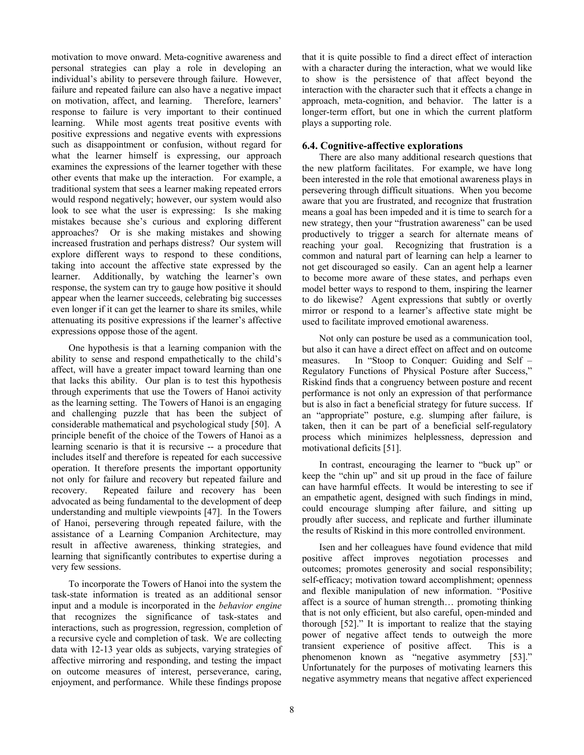motivation to move onward. Meta-cognitive awareness and personal strategies can play a role in developing an individual's ability to persevere through failure. However, failure and repeated failure can also have a negative impact on motivation, affect, and learning. Therefore, learners' response to failure is very important to their continued learning. While most agents treat positive events with positive expressions and negative events with expressions such as disappointment or confusion, without regard for what the learner himself is expressing, our approach examines the expressions of the learner together with these other events that make up the interaction. For example, a traditional system that sees a learner making repeated errors would respond negatively; however, our system would also look to see what the user is expressing: Is she making mistakes because she's curious and exploring different approaches? Or is she making mistakes and showing increased frustration and perhaps distress? Our system will explore different ways to respond to these conditions, taking into account the affective state expressed by the learner. Additionally, by watching the learner's own response, the system can try to gauge how positive it should appear when the learner succeeds, celebrating big successes even longer if it can get the learner to share its smiles, while attenuating its positive expressions if the learner's affective expressions oppose those of the agent.

One hypothesis is that a learning companion with the ability to sense and respond empathetically to the child's affect, will have a greater impact toward learning than one that lacks this ability. Our plan is to test this hypothesis through experiments that use the Towers of Hanoi activity as the learning setting. The Towers of Hanoi is an engaging and challenging puzzle that has been the subject of considerable mathematical and psychological study [50]. A principle benefit of the choice of the Towers of Hanoi as a learning scenario is that it is recursive -- a procedure that includes itself and therefore is repeated for each successive operation. It therefore presents the important opportunity not only for failure and recovery but repeated failure and recovery. Repeated failure and recovery has been advocated as being fundamental to the development of deep understanding and multiple viewpoints [47]. In the Towers of Hanoi, persevering through repeated failure, with the assistance of a Learning Companion Architecture, may result in affective awareness, thinking strategies, and learning that significantly contributes to expertise during a very few sessions.

To incorporate the Towers of Hanoi into the system the task-state information is treated as an additional sensor input and a module is incorporated in the *behavior engine* that recognizes the significance of task-states and interactions, such as progression, regression, completion of a recursive cycle and completion of task. We are collecting data with 12-13 year olds as subjects, varying strategies of affective mirroring and responding, and testing the impact on outcome measures of interest, perseverance, caring, enjoyment, and performance. While these findings propose

that it is quite possible to find a direct effect of interaction with a character during the interaction, what we would like to show is the persistence of that affect beyond the interaction with the character such that it effects a change in approach, meta-cognition, and behavior. The latter is a longer-term effort, but one in which the current platform plays a supporting role.

## **6.4. Cognitive-affective explorations**

There are also many additional research questions that the new platform facilitates. For example, we have long been interested in the role that emotional awareness plays in persevering through difficult situations. When you become aware that you are frustrated, and recognize that frustration means a goal has been impeded and it is time to search for a new strategy, then your "frustration awareness" can be used productively to trigger a search for alternate means of reaching your goal. Recognizing that frustration is a common and natural part of learning can help a learner to not get discouraged so easily. Can an agent help a learner to become more aware of these states, and perhaps even model better ways to respond to them, inspiring the learner to do likewise? Agent expressions that subtly or overtly mirror or respond to a learner's affective state might be used to facilitate improved emotional awareness.

Not only can posture be used as a communication tool, but also it can have a direct effect on affect and on outcome measures. In "Stoop to Conquer: Guiding and Self – Regulatory Functions of Physical Posture after Success," Riskind finds that a congruency between posture and recent performance is not only an expression of that performance but is also in fact a beneficial strategy for future success. If an "appropriate" posture, e.g. slumping after failure, is taken, then it can be part of a beneficial self-regulatory process which minimizes helplessness, depression and motivational deficits [51].

In contrast, encouraging the learner to "buck up" or keep the "chin up" and sit up proud in the face of failure can have harmful effects. It would be interesting to see if an empathetic agent, designed with such findings in mind, could encourage slumping after failure, and sitting up proudly after success, and replicate and further illuminate the results of Riskind in this more controlled environment.

Isen and her colleagues have found evidence that mild positive affect improves negotiation processes and outcomes; promotes generosity and social responsibility; self-efficacy; motivation toward accomplishment; openness and flexible manipulation of new information. "Positive affect is a source of human strength… promoting thinking that is not only efficient, but also careful, open-minded and thorough [52]." It is important to realize that the staying power of negative affect tends to outweigh the more transient experience of positive affect. This is a phenomenon known as "negative asymmetry [53]." Unfortunately for the purposes of motivating learners this negative asymmetry means that negative affect experienced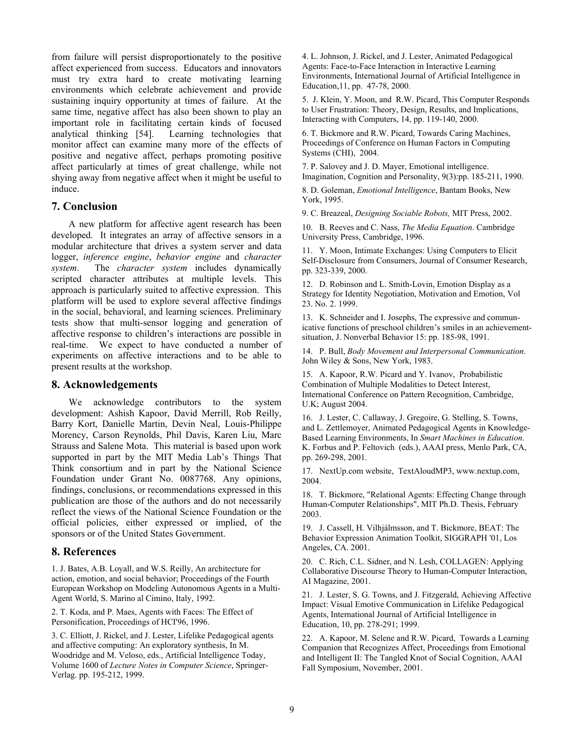from failure will persist disproportionately to the positive affect experienced from success. Educators and innovators must try extra hard to create motivating learning environments which celebrate achievement and provide sustaining inquiry opportunity at times of failure. At the same time, negative affect has also been shown to play an important role in facilitating certain kinds of focused analytical thinking [54]. Learning technologies that monitor affect can examine many more of the effects of positive and negative affect, perhaps promoting positive affect particularly at times of great challenge, while not shying away from negative affect when it might be useful to induce.

# **7. Conclusion**

A new platform for affective agent research has been developed. It integrates an array of affective sensors in a modular architecture that drives a system server and data logger, *inference engine*, *behavior engine* and *character system*. The *character system* includes dynamically scripted character attributes at multiple levels. This approach is particularly suited to affective expression. This platform will be used to explore several affective findings in the social, behavioral, and learning sciences. Preliminary tests show that multi-sensor logging and generation of affective response to children's interactions are possible in real-time. We expect to have conducted a number of experiments on affective interactions and to be able to present results at the workshop.

# **8. Acknowledgements**

We acknowledge contributors to the system development: Ashish Kapoor, David Merrill, Rob Reilly, Barry Kort, Danielle Martin, Devin Neal, Louis-Philippe Morency, Carson Reynolds, Phil Davis, Karen Liu, Marc Strauss and Salene Mota. This material is based upon work supported in part by the MIT Media Lab's Things That Think consortium and in part by the National Science Foundation under Grant No. 0087768. Any opinions, findings, conclusions, or recommendations expressed in this publication are those of the authors and do not necessarily reflect the views of the National Science Foundation or the official policies, either expressed or implied, of the sponsors or of the United States Government.

# **8. References**

1. J. Bates, A.B. Loyall, and W.S. Reilly, An architecture for action, emotion, and social behavior; Proceedings of the Fourth European Workshop on Modeling Autonomous Agents in a Multi-Agent World, S. Marino al Cimino, Italy, 1992.

2. T. Koda, and P. Maes, Agents with Faces: The Effect of Personification, Proceedings of HCI'96, 1996.

3. C. Elliott, J. Rickel, and J. Lester, Lifelike Pedagogical agents and affective computing: An exploratory synthesis, In M. Woodridge and M. Veloso, eds., Artificial Intelligence Today, Volume 1600 of *Lecture Notes in Computer Science*, Springer-Verlag. pp. 195-212, 1999.

4. L. Johnson, J. Rickel, and J. Lester, Animated Pedagogical Agents: Face-to-Face Interaction in Interactive Learning Environments, International Journal of Artificial Intelligence in Education,11, pp. 47-78, 2000.

5. J. Klein, Y. Moon, and R.W. Picard, This Computer Responds to User Frustration: Theory, Design, Results, and Implications, Interacting with Computers, 14, pp. 119-140, 2000.

6. T. Bickmore and R.W. Picard, Towards Caring Machines, Proceedings of Conference on Human Factors in Computing Systems (CHI), 2004.

7. P. Salovey and J. D. Mayer, Emotional intelligence. Imagination, Cognition and Personality, 9(3):pp. 185-211, 1990.

8. D. Goleman, *Emotional Intelligence*, Bantam Books, New York, 1995.

9. C. Breazeal, *Designing Sociable Robots,* MIT Press, 2002.

10. B. Reeves and C. Nass, *The Media Equation*. Cambridge University Press, Cambridge, 1996.

11. Y. Moon, Intimate Exchanges: Using Computers to Elicit Self-Disclosure from Consumers, Journal of Consumer Research, pp. 323-339, 2000.

12. D. Robinson and L. Smith-Lovin, Emotion Display as a Strategy for Identity Negotiation, Motivation and Emotion, Vol 23. No. 2. 1999.

13. K. Schneider and I. Josephs, The expressive and communicative functions of preschool children's smiles in an achievementsituation, J. Nonverbal Behavior 15: pp. 185-98, 1991.

14. P. Bull, *Body Movement and Interpersonal Communication*. John Wiley & Sons, New York, 1983.

15. A. Kapoor, R.W. Picard and Y. Ivanov, Probabilistic Combination of Multiple Modalities to Detect Interest, International Conference on Pattern Recognition, Cambridge, U.K; August 2004.

16. J. Lester, C. Callaway, J. Gregoire, G. Stelling, S. Towns, and L. Zettlemoyer, Animated Pedagogical Agents in Knowledge-Based Learning Environments, In *Smart Machines in Education*. K. Forbus and P. Feltovich (eds.), AAAI press, Menlo Park, CA, pp. 269-298, 2001.

17. NextUp.com website, TextAloudMP3, www.nextup.com, 2004.

18. T. Bickmore, "Relational Agents: Effecting Change through Human-Computer Relationships", MIT Ph.D. Thesis, February 2003.

19. J. Cassell, H. Vilhjálmsson, and T. Bickmore, BEAT: The Behavior Expression Animation Toolkit, SIGGRAPH '01, Los Angeles, CA. 2001.

20. C. Rich, C.L. Sidner, and N. Lesh, COLLAGEN: Applying Collaborative Discourse Theory to Human-Computer Interaction, AI Magazine, 2001.

21. J. Lester, S. G. Towns, and J. Fitzgerald, Achieving Affective Impact: Visual Emotive Communication in Lifelike Pedagogical Agents, International Journal of Artificial Intelligence in Education, 10, pp. 278-291; 1999.

22. A. Kapoor, M. Selene and R.W. Picard, Towards a Learning Companion that Recognizes Affect, Proceedings from Emotional and Intelligent II: The Tangled Knot of Social Cognition, AAAI Fall Symposium, November, 2001.